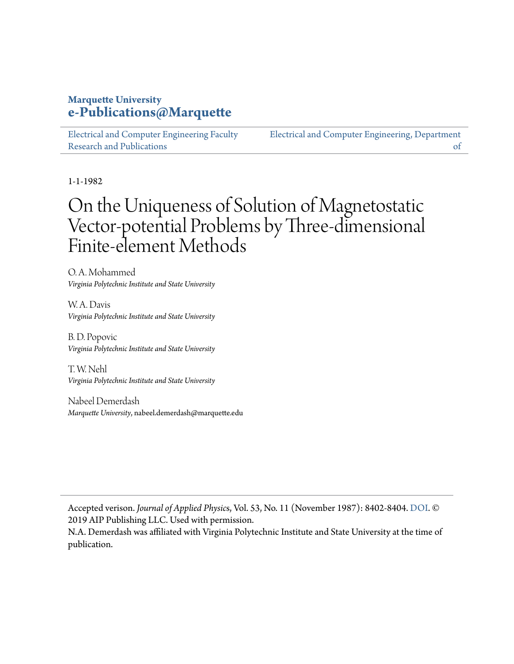# **Marquette University [e-Publications@Marquette](https://epublications.marquette.edu)**

[Electrical and Computer Engineering Faculty](https://epublications.marquette.edu/electric_fac) [Research and Publications](https://epublications.marquette.edu/electric_fac)

[Electrical and Computer Engineering, Department](https://epublications.marquette.edu/electric) [of](https://epublications.marquette.edu/electric)

1-1-1982

# On the Uniqueness of Solution of Magnetostatic Vector‐potential Problems by Three‐dimensional Finite‐element Methods

O. A. Mohammed *Virginia Polytechnic Institute and State University*

W. A. Davis *Virginia Polytechnic Institute and State University*

B. D. Popovic *Virginia Polytechnic Institute and State University*

T. W. Nehl *Virginia Polytechnic Institute and State University*

Nabeel Demerdash *Marquette University*, nabeel.demerdash@marquette.edu

Accepted verison. *Journal of Applied Physic*s, Vol. 53, No. 11 (November 1987): 8402-8404. [DOI](https://doi.org/10.1063/1.330373). © 2019 AIP Publishing LLC. Used with permission.

N.A. Demerdash was affiliated with Virginia Polytechnic Institute and State University at the time of publication.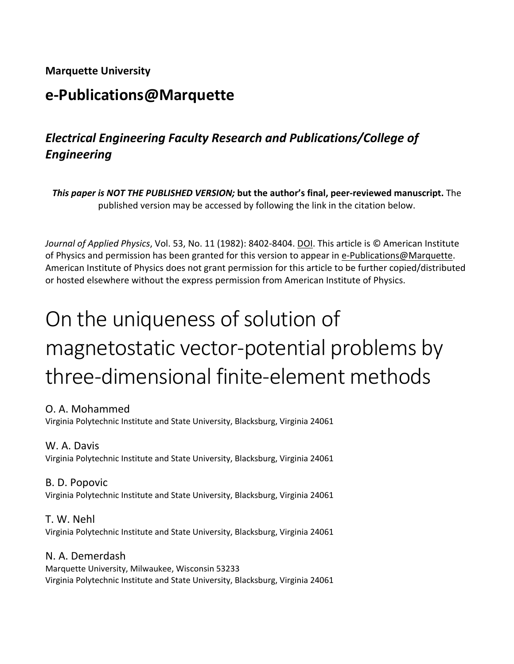## **Marquette University**

# **e-Publications@Marquette**

# *Electrical Engineering Faculty Research and Publications/College of Engineering*

*This paper is NOT THE PUBLISHED VERSION;* **but the author's final, peer-reviewed manuscript.** The published version may be accessed by following the link in the citation below.

*Journal of Applied Physics*, Vol. 53, No. 11 (1982): 8402-8404. DOI. This article is © American Institute of Physics and permission has been granted for this version to appear in [e-Publications@Marquette.](http://epublications.marquette.edu/) American Institute of Physics does not grant permission for this article to be further copied/distributed or hosted elsewhere without the express permission from American Institute of Physics.

# On the uniqueness of solution of magnetostatic vector-potential problems by three-dimensional finite-element methods

## O. A. Mohammed

Virginia Polytechnic Institute and State University, Blacksburg, Virginia 24061

#### W. A. Davis

Virginia Polytechnic Institute and State University, Blacksburg, Virginia 24061

#### B. D. Popovic

Virginia Polytechnic Institute and State University, Blacksburg, Virginia 24061

#### T. W. Nehl

Virginia Polytechnic Institute and State University, Blacksburg, Virginia 24061

#### N. A. Demerdash

Marquette University, Milwaukee, Wisconsin 53233 Virginia Polytechnic Institute and State University, Blacksburg, Virginia 24061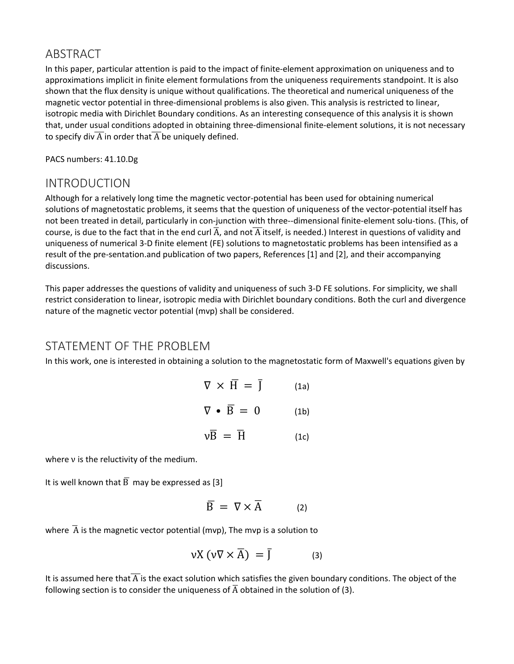# ABSTRACT

In this paper, particular attention is paid to the impact of finite-element approximation on uniqueness and to approximations implicit in finite element formulations from the uniqueness requirements standpoint. It is also shown that the flux density is unique without qualifications. The theoretical and numerical uniqueness of the magnetic vector potential in three-dimensional problems is also given. This analysis is restricted to linear, isotropic media with Dirichlet Boundary conditions. As an interesting consequence of this analysis it is shown that, under usual conditions adopted in obtaining three-dimensional finite-element solutions, it is not necessary to specify div  $\overline{A}$  in order that  $\overline{A}$  be uniquely defined.

PACS numbers: 41.10.Dg

# INTRODUCTION

Although for a relatively long time the magnetic vector-potential has been used for obtaining numerical solutions of magnetostatic problems, it seems that the question of uniqueness of the vector-potential itself has not been treated in detail, particularly in con-junction with three--dimensional finite-element solu-tions. (This, of course, is due to the fact that in the end curl  $\overline{A}$ , and not  $\overline{A}$  itself, is needed.) Interest in questions of validity and uniqueness of numerical 3-D finite element (FE) solutions to magnetostatic problems has been intensified as a result of the pre-sentation.and publication of two papers, References [1] and [2], and their accompanying discussions.

This paper addresses the questions of validity and uniqueness of such 3-D FE solutions. For simplicity, we shall restrict consideration to linear, isotropic media with Dirichlet boundary conditions. Both the curl and divergence nature of the magnetic vector potential (mvp) shall be considered.

# STATEMENT OF THE PROBLEM

In this work, one is interested in obtaining a solution to the magnetostatic form of Maxwell's equations given by

| $\nabla \times \overline{H} = \overline{I}$ | (1a)              |
|---------------------------------------------|-------------------|
| $\nabla \bullet \overline{\mathbf{B}} = 0$  | (1 <sub>b</sub> ) |
| $\nu \overline{B} = \overline{H}$           | (1c)              |

where ν is the reluctivity of the medium.

It is well known that  $\overline{B}$  may be expressed as [3]

$$
\overline{B} = \nabla \times \overline{A} \qquad (2)
$$

where  $\overline{A}$  is the magnetic vector potential (mvp), The mvp is a solution to

$$
\nu X \left( \nu \nabla \times \overline{A} \right) = \overline{J} \tag{3}
$$

It is assumed here that  $\overline{A}$  is the exact solution which satisfies the given boundary conditions. The object of the following section is to consider the uniqueness of  $\overline{A}$  obtained in the solution of (3).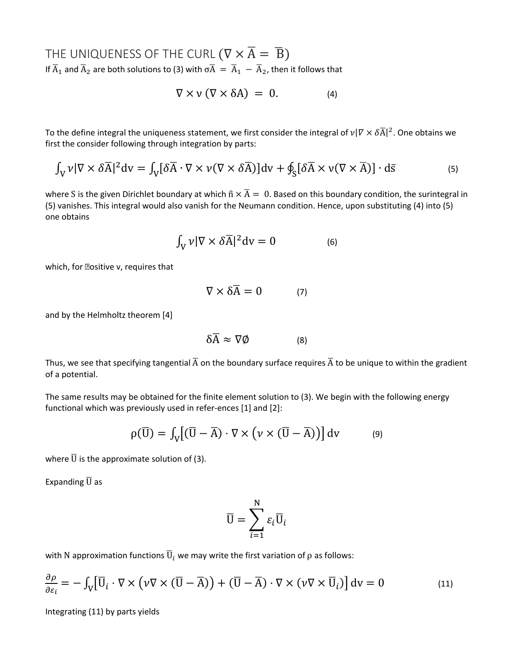THE UNIQUENESS OF THE CURL  $(\nabla \times \overline{A} = \overline{B})$ If  $\overline{A}_1$  and  $\overline{A}_2$  are both solutions to (3) with  $\sigma \overline{A} = \overline{A}_1 - \overline{A}_2$ , then it follows that

$$
\nabla \times \nu (\nabla \times \delta A) = 0. \tag{4}
$$

To the define integral the uniqueness statement, we first consider the integral of  $\nu | V \times \delta \overline{A}|^2$ . One obtains we first the consider following through integration by parts:

$$
\int_{V} \nu |\nabla \times \delta \overline{A}|^{2} dv = \int_{V} [\delta \overline{A} \cdot \nabla \times \nu (\nabla \times \delta \overline{A})] dv + \oint_{S} [\delta \overline{A} \times \nu (\nabla \times \overline{A})] \cdot d\overline{s}
$$
 (5)

where S is the given Dirichlet boundary at which  $\hat{n} \times \overline{A} = 0$ . Based on this boundary condition, the surintegral in (5) vanishes. This integral would also vanish for the Neumann condition. Hence, upon substituting (4) into (5) one obtains

$$
\int_{V} \nu |\nabla \times \delta \overline{A}|^{2} dv = 0
$$
 (6)

which, for **Dositive v**, requires that

$$
\nabla \times \delta \overline{A} = 0 \tag{7}
$$

and by the Helmholtz theorem [4]

$$
\delta \overline{A} \approx \nabla \emptyset \tag{8}
$$

Thus, we see that specifying tangential  $\overline{A}$  on the boundary surface requires  $\overline{A}$  to be unique to within the gradient of a potential.

The same results may be obtained for the finite element solution to (3). We begin with the following energy functional which was previously used in refer-ences [1] and [2]:

$$
\rho(\overline{U}) = \int_{V} \left[ (\overline{U} - \overline{A}) \cdot \nabla \times (\nu \times (\overline{U} - \overline{A})) \right] dv
$$
 (9)

where  $\overline{U}$  is the approximate solution of (3).

Expanding  $\overline{U}$  as

$$
\overline{\mathbf{U}} = \sum_{i=1}^{\mathbf{N}} \varepsilon_i \overline{\mathbf{U}}_i
$$

with N approximation functions  $\overline{U}_i$  we may write the first variation of  $\rho$  as follows:

$$
\frac{\partial \rho}{\partial \varepsilon_i} = -\int_V [\overline{U}_i \cdot \nabla \times (\nu \nabla \times (\overline{U} - \overline{A})) + (\overline{U} - \overline{A}) \cdot \nabla \times (\nu \nabla \times \overline{U}_i)] dv = 0 \tag{11}
$$

Integrating (11) by parts yields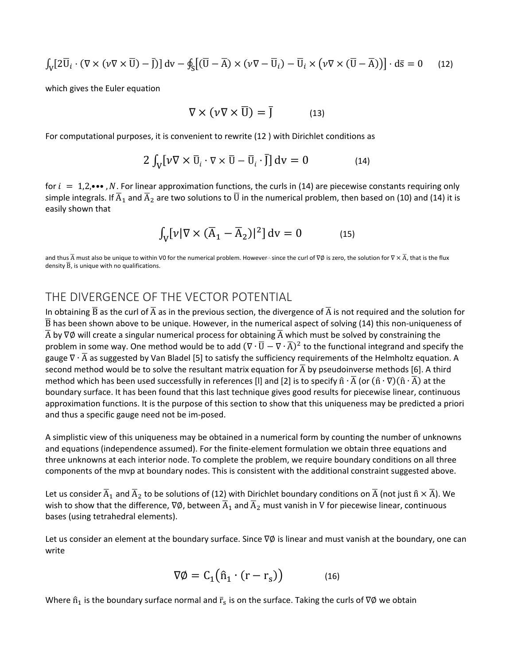$$
\int_{\mathcal{V}} [2\overline{\mathcal{U}}_i \cdot (\nabla \times (\nu \nabla \times \overline{\mathcal{U}}) - \overline{\mathcal{I}})] \, \mathrm{d}\mathcal{V} - \oint_{\mathcal{S}} \left[ (\overline{\mathcal{U}} - \overline{\mathcal{A}}) \times (\nu \nabla - \overline{\mathcal{U}}_i) - \overline{\mathcal{U}}_i \times (\nu \nabla \times (\overline{\mathcal{U}} - \overline{\mathcal{A}})) \right] \cdot \mathrm{d}\overline{\mathcal{S}} = 0 \qquad (12)
$$

which gives the Euler equation

$$
\nabla \times (\nu \nabla \times \overline{\mathbf{U}}) = \overline{\mathbf{J}} \tag{13}
$$

For computational purposes, it is convenient to rewrite (12 ) with Dirichlet conditions as

$$
2\int_{V}[\nu\nabla\times\overline{U}_{i}\cdot\nabla\times\overline{U}-\overline{U}_{i}\cdot\overline{]}]\,dv=0\qquad(14)
$$

for  $i = 1,2, \cdots$ , N. For linear approximation functions, the curls in (14) are piecewise constants requiring only simple integrals. If  $\overline{A}_1$  and  $\overline{A}_2$  are two solutions to  $\overline{U}$  in the numerical problem, then based on (10) and (14) it is easily shown that

$$
\int_{V} [\nu | \nabla \times (\overline{A}_{1} - \overline{A}_{2})|^{2}] dv = 0
$$
 (15)

and thus  $\overline{A}$  must also be unique to within V0 for the numerical problem. However--since the curl of  $\nabla$ Ø is zero, the solution for  $\nabla \times \overline{A}$ , that is the flux density  $\overline{B}$ , is unique with no qualifications.

# THE DIVERGENCE OF THE VECTOR POTENTIAL

In obtaining  $\bar{B}$  as the curl of  $\bar{A}$  as in the previous section, the divergence of  $\bar{A}$  is not required and the solution for  $\overline{B}$  has been shown above to be unique. However, in the numerical aspect of solving (14) this non-uniqueness of  $\overline{A}$  by  $\nabla\phi$  will create a singular numerical process for obtaining  $\overline{A}$  which must be solved by constraining the problem in some way. One method would be to add  $(\nabla \cdot \overline{U} - \nabla \cdot \overline{A})^2$  to the functional integrand and specify the gauge  $\nabla \cdot \overline{A}$  as suggested by Van Bladel [5] to satisfy the sufficiency requirements of the Helmholtz equation. A second method would be to solve the resultant matrix equation for  $\overline{A}$  by pseudoinverse methods [6]. A third method which has been used successfully in references [l] and [2] is to specify  $\hat{n} \cdot \overline{A}$  (or  $(\hat{n} \cdot \nabla)(\hat{n} \cdot \overline{A})$  at the boundary surface. It has been found that this last technique gives good results for piecewise linear, continuous approximation functions. It is the purpose of this section to show that this uniqueness may be predicted a priori and thus a specific gauge need not be im-posed.

A simplistic view of this uniqueness may be obtained in a numerical form by counting the number of unknowns and equations (independence assumed). For the finite-element formulation we obtain three equations and three unknowns at each interior node. To complete the problem, we require boundary conditions on all three components of the mvp at boundary nodes. This is consistent with the additional constraint suggested above.

Let us consider  $\overline{A}_1$  and  $\overline{A}_2$  to be solutions of (12) with Dirichlet boundary conditions on  $\overline{A}$  (not just  $\hat{n} \times \overline{A}$ ). We wish to show that the difference,  $\nabla\phi$ , between  $\overline{A}_1$  and  $\overline{A}_2$  must vanish in V for piecewise linear, continuous bases (using tetrahedral elements).

Let us consider an element at the boundary surface. Since  $\nabla$ Ø is linear and must vanish at the boundary, one can write

$$
\nabla \emptyset = C_1(\hat{n}_1 \cdot (r - r_s)) \tag{16}
$$

Where  $\hat{\bm{\mathsf n}}_1$  is the boundary surface normal and  $\bar{\bm{\mathsf r}}_{\mathsf S}$  is on the surface. Taking the curls of  $\nabla\phi$  we obtain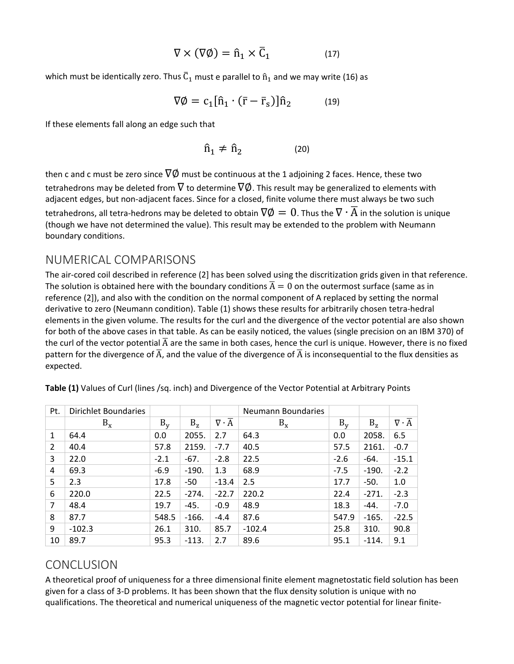$$
\nabla \times (\nabla \emptyset) = \hat{n}_1 \times \bar{C}_1 \tag{17}
$$

which must be identically zero. Thus  $\overline{C}_1$  must e parallel to  $\hat{n}_1$  and we may write (16) as

$$
\nabla \emptyset = c_1 [\hat{n}_1 \cdot (\bar{r} - \bar{r}_s)] \hat{n}_2 \tag{19}
$$

If these elements fall along an edge such that

$$
\hat{n}_1 \neq \hat{n}_2 \tag{20}
$$

then c and c must be zero since  $\nabla\phi$  must be continuous at the 1 adjoining 2 faces. Hence, these two tetrahedrons may be deleted from  $\nabla$  to determine  $\nabla\phi$ . This result may be generalized to elements with adjacent edges, but non-adjacent faces. Since for a closed, finite volume there must always be two such tetrahedrons, all tetra-hedrons may be deleted to obtain  $\nabla \emptyset = 0$ . Thus the  $\nabla \cdot \overline{A}$  in the solution is unique (though we have not determined the value). This result may be extended to the problem with Neumann boundary conditions.

#### NUMERICAL COMPARISONS

The air-cored coil described in reference (2] has been solved using the discritization grids given in that reference. The solution is obtained here with the boundary conditions  $\overline{A} = 0$  on the outermost surface (same as in reference (2]), and also with the condition on the normal component of A replaced by setting the normal derivative to zero (Neumann condition). Table (1) shows these results for arbitrarily chosen tetra-hedral elements in the given volume. The results for the curl and the divergence of the vector potential are also shown for both of the above cases in that table. As can be easily noticed, the values (single precision on an IBM 370) of the curl of the vector potential  $\overline{A}$  are the same in both cases, hence the curl is unique. However, there is no fixed pattern for the divergence of  $\overline{A}$ , and the value of the divergence of  $\overline{A}$  is inconsequential to the flux densities as expected.

| Pt.            | <b>Dirichlet Boundaries</b> |        |         |                             | Neumann Boundaries |        |         |                             |
|----------------|-----------------------------|--------|---------|-----------------------------|--------------------|--------|---------|-----------------------------|
|                | $B_x$                       | $B_v$  | $B_{z}$ | $\nabla \cdot \overline{A}$ | $B_x$              | $B_v$  | $B_z$   | $\nabla \cdot \overline{A}$ |
| $\mathbf{1}$   | 64.4                        | 0.0    | 2055.   | 2.7                         | 64.3               | 0.0    | 2058.   | 6.5                         |
| $\overline{2}$ | 40.4                        | 57.8   | 2159.   | $-7.7$                      | 40.5               | 57.5   | 2161.   | $-0.7$                      |
| 3              | 22.0                        | $-2.1$ | $-67.$  | $-2.8$                      | 22.5               | $-2.6$ | $-64.$  | $-15.1$                     |
| 4              | 69.3                        | $-6.9$ | $-190.$ | 1.3                         | 68.9               | $-7.5$ | $-190.$ | $-2.2$                      |
| 5              | 2.3                         | 17.8   | -50     | $-13.4$                     | 2.5                | 17.7   | $-50.$  | 1.0                         |
| 6              | 220.0                       | 22.5   | $-274.$ | $-22.7$                     | 220.2              | 22.4   | $-271.$ | $-2.3$                      |
| 7              | 48.4                        | 19.7   | $-45.$  | $-0.9$                      | 48.9               | 18.3   | -44.    | $-7.0$                      |
| 8              | 87.7                        | 548.5  | $-166.$ | $-4.4$                      | 87.6               | 547.9  | $-165.$ | $-22.5$                     |
| 9              | $-102.3$                    | 26.1   | 310.    | 85.7                        | $-102.4$           | 25.8   | 310.    | 90.8                        |
| 10             | 89.7                        | 95.3   | $-113.$ | 2.7                         | 89.6               | 95.1   | $-114.$ | 9.1                         |

**Table (1)** Values of Curl (lines /sq. inch) and Divergence of the Vector Potential at Arbitrary Points

# **CONCLUSION**

A theoretical proof of uniqueness for a three dimensional finite element magnetostatic field solution has been given for a class of 3-D problems. It has been shown that the flux density solution is unique with no qualifications. The theoretical and numerical uniqueness of the magnetic vector potential for linear finite